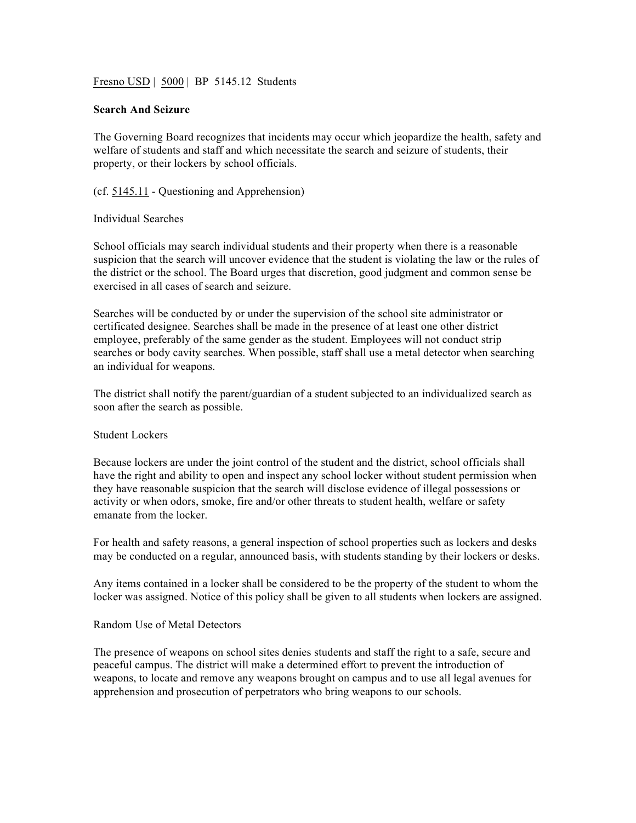Fresno USD | 5000 | BP 5145.12 Students

## **Search And Seizure**

The Governing Board recognizes that incidents may occur which jeopardize the health, safety and welfare of students and staff and which necessitate the search and seizure of students, their property, or their lockers by school officials.

(cf. 5145.11 - Questioning and Apprehension)

## Individual Searches

School officials may search individual students and their property when there is a reasonable suspicion that the search will uncover evidence that the student is violating the law or the rules of the district or the school. The Board urges that discretion, good judgment and common sense be exercised in all cases of search and seizure.

Searches will be conducted by or under the supervision of the school site administrator or certificated designee. Searches shall be made in the presence of at least one other district employee, preferably of the same gender as the student. Employees will not conduct strip searches or body cavity searches. When possible, staff shall use a metal detector when searching an individual for weapons.

The district shall notify the parent/guardian of a student subjected to an individualized search as soon after the search as possible.

## Student Lockers

Because lockers are under the joint control of the student and the district, school officials shall have the right and ability to open and inspect any school locker without student permission when they have reasonable suspicion that the search will disclose evidence of illegal possessions or activity or when odors, smoke, fire and/or other threats to student health, welfare or safety emanate from the locker.

For health and safety reasons, a general inspection of school properties such as lockers and desks may be conducted on a regular, announced basis, with students standing by their lockers or desks.

Any items contained in a locker shall be considered to be the property of the student to whom the locker was assigned. Notice of this policy shall be given to all students when lockers are assigned.

## Random Use of Metal Detectors

The presence of weapons on school sites denies students and staff the right to a safe, secure and peaceful campus. The district will make a determined effort to prevent the introduction of weapons, to locate and remove any weapons brought on campus and to use all legal avenues for apprehension and prosecution of perpetrators who bring weapons to our schools.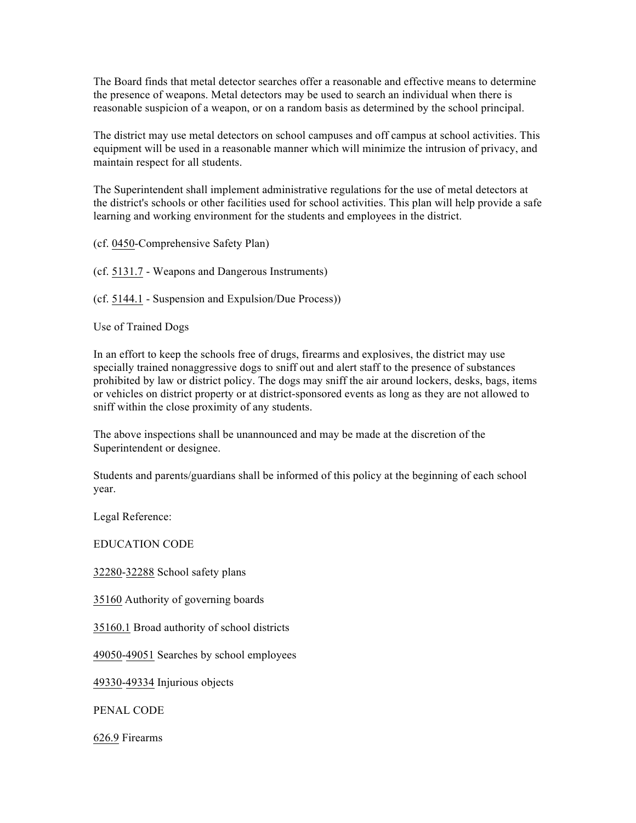The Board finds that metal detector searches offer a reasonable and effective means to determine the presence of weapons. Metal detectors may be used to search an individual when there is reasonable suspicion of a weapon, or on a random basis as determined by the school principal.

The district may use metal detectors on school campuses and off campus at school activities. This equipment will be used in a reasonable manner which will minimize the intrusion of privacy, and maintain respect for all students.

The Superintendent shall implement administrative regulations for the use of metal detectors at the district's schools or other facilities used for school activities. This plan will help provide a safe learning and working environment for the students and employees in the district.

(cf. 0450-Comprehensive Safety Plan)

(cf. 5131.7 - Weapons and Dangerous Instruments)

(cf. 5144.1 - Suspension and Expulsion/Due Process))

Use of Trained Dogs

In an effort to keep the schools free of drugs, firearms and explosives, the district may use specially trained nonaggressive dogs to sniff out and alert staff to the presence of substances prohibited by law or district policy. The dogs may sniff the air around lockers, desks, bags, items or vehicles on district property or at district-sponsored events as long as they are not allowed to sniff within the close proximity of any students.

The above inspections shall be unannounced and may be made at the discretion of the Superintendent or designee.

Students and parents/guardians shall be informed of this policy at the beginning of each school year.

Legal Reference:

EDUCATION CODE

32280-32288 School safety plans

35160 Authority of governing boards

35160.1 Broad authority of school districts

49050-49051 Searches by school employees

49330-49334 Injurious objects

PENAL CODE

626.9 Firearms